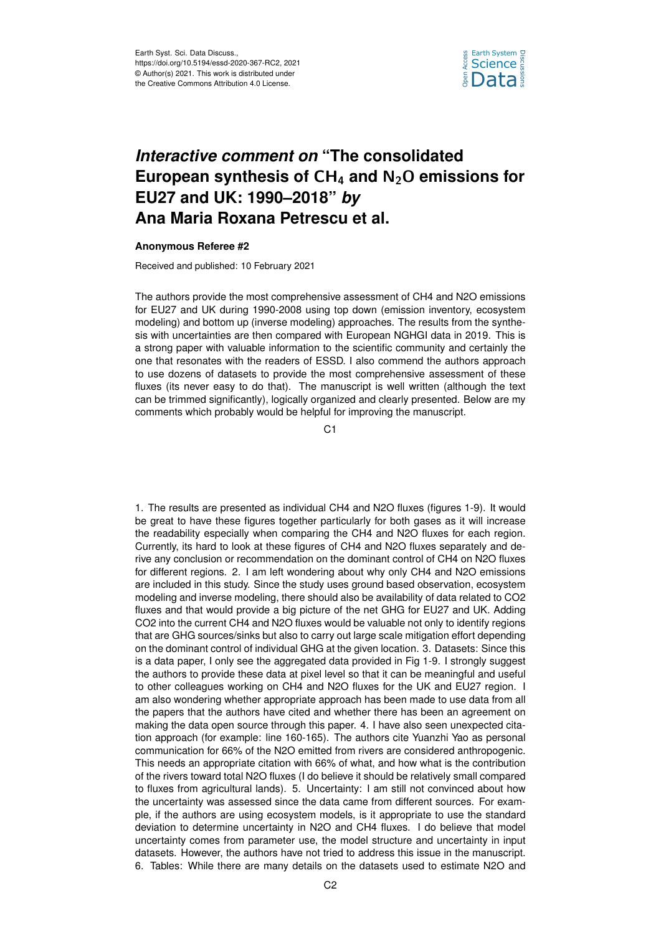

## *Interactive comment on* **"The consolidated European synthesis of** CH<sup>4</sup> **and** N2O **emissions for EU27 and UK: 1990–2018"** *by* **Ana Maria Roxana Petrescu et al.**

## **Anonymous Referee #2**

Received and published: 10 February 2021

The authors provide the most comprehensive assessment of CH4 and N2O emissions for EU27 and UK during 1990-2008 using top down (emission inventory, ecosystem modeling) and bottom up (inverse modeling) approaches. The results from the synthesis with uncertainties are then compared with European NGHGI data in 2019. This is a strong paper with valuable information to the scientific community and certainly the one that resonates with the readers of ESSD. I also commend the authors approach to use dozens of datasets to provide the most comprehensive assessment of these fluxes (its never easy to do that). The manuscript is well written (although the text can be trimmed significantly), logically organized and clearly presented. Below are my comments which probably would be helpful for improving the manuscript.

C<sub>1</sub>

1. The results are presented as individual CH4 and N2O fluxes (figures 1-9). It would be great to have these figures together particularly for both gases as it will increase the readability especially when comparing the CH4 and N2O fluxes for each region. Currently, its hard to look at these figures of CH4 and N2O fluxes separately and derive any conclusion or recommendation on the dominant control of CH4 on N2O fluxes for different regions. 2. I am left wondering about why only CH4 and N2O emissions are included in this study. Since the study uses ground based observation, ecosystem modeling and inverse modeling, there should also be availability of data related to CO2 fluxes and that would provide a big picture of the net GHG for EU27 and UK. Adding CO2 into the current CH4 and N2O fluxes would be valuable not only to identify regions that are GHG sources/sinks but also to carry out large scale mitigation effort depending on the dominant control of individual GHG at the given location. 3. Datasets: Since this is a data paper, I only see the aggregated data provided in Fig 1-9. I strongly suggest the authors to provide these data at pixel level so that it can be meaningful and useful to other colleagues working on CH4 and N2O fluxes for the UK and EU27 region. I am also wondering whether appropriate approach has been made to use data from all the papers that the authors have cited and whether there has been an agreement on making the data open source through this paper. 4. I have also seen unexpected citation approach (for example: line 160-165). The authors cite Yuanzhi Yao as personal communication for 66% of the N2O emitted from rivers are considered anthropogenic. This needs an appropriate citation with 66% of what, and how what is the contribution of the rivers toward total N2O fluxes (I do believe it should be relatively small compared to fluxes from agricultural lands). 5. Uncertainty: I am still not convinced about how the uncertainty was assessed since the data came from different sources. For example, if the authors are using ecosystem models, is it appropriate to use the standard deviation to determine uncertainty in N2O and CH4 fluxes. I do believe that model uncertainty comes from parameter use, the model structure and uncertainty in input datasets. However, the authors have not tried to address this issue in the manuscript. 6. Tables: While there are many details on the datasets used to estimate N2O and